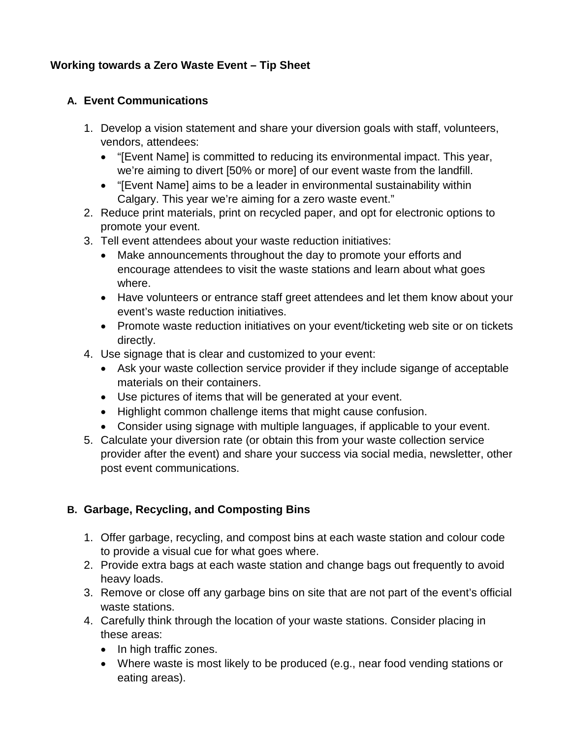# **Working towards a Zero Waste Event – Tip Sheet**

## **A. Event Communications**

- 1. Develop a vision statement and share your diversion goals with staff, volunteers, vendors, attendees:
	- "[Event Name] is committed to reducing its environmental impact. This year, we're aiming to divert [50% or more] of our event waste from the landfill.
	- "[Event Name] aims to be a leader in environmental sustainability within Calgary. This year we're aiming for a zero waste event."
- 2. Reduce print materials, print on recycled paper, and opt for electronic options to promote your event.
- 3. Tell event attendees about your waste reduction initiatives:
	- Make announcements throughout the day to promote your efforts and encourage attendees to visit the waste stations and learn about what goes where.
	- Have volunteers or entrance staff greet attendees and let them know about your event's waste reduction initiatives.
	- Promote waste reduction initiatives on your event/ticketing web site or on tickets directly.
- 4. Use signage that is clear and customized to your event:
	- Ask your waste collection service provider if they include sigange of acceptable materials on their containers.
	- Use pictures of items that will be generated at your event.
	- Highlight common challenge items that might cause confusion.
	- Consider using signage with multiple languages, if applicable to your event.
- 5. Calculate your diversion rate (or obtain this from your waste collection service provider after the event) and share your success via social media, newsletter, other post event communications.

# **B. Garbage, Recycling, and Composting Bins**

- 1. Offer garbage, recycling, and compost bins at each waste station and colour code to provide a visual cue for what goes where.
- 2. Provide extra bags at each waste station and change bags out frequently to avoid heavy loads.
- 3. Remove or close off any garbage bins on site that are not part of the event's official waste stations.
- 4. Carefully think through the location of your waste stations. Consider placing in these areas:
	- In high traffic zones.
	- Where waste is most likely to be produced (e.g., near food vending stations or eating areas).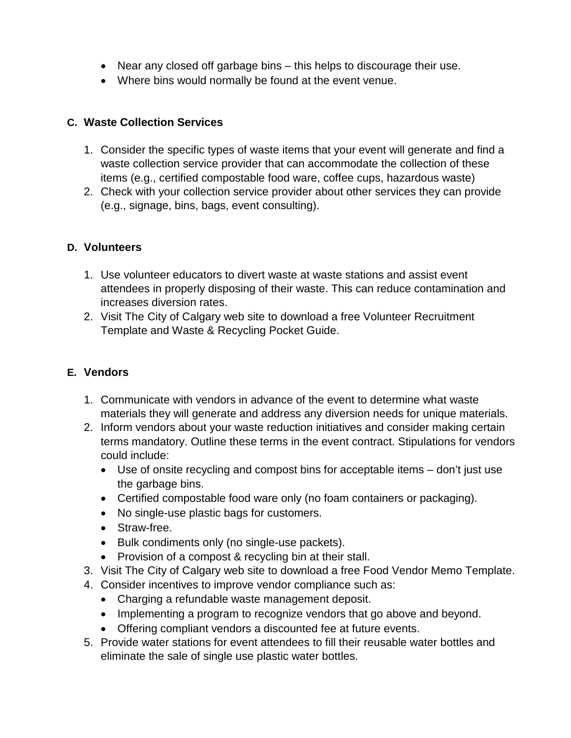- Near any closed off garbage bins this helps to discourage their use.
- Where bins would normally be found at the event venue.

#### **C. Waste Collection Services**

- 1. Consider the specific types of waste items that your event will generate and find a waste collection service provider that can accommodate the collection of these items (e.g., certified compostable food ware, coffee cups, hazardous waste)
- 2. Check with your collection service provider about other services they can provide (e.g., signage, bins, bags, event consulting).

#### **D. Volunteers**

- 1. Use volunteer educators to divert waste at waste stations and assist event attendees in properly disposing of their waste. This can reduce contamination and increases diversion rates.
- 2. Visit The City of Calgary web site to download a free Volunteer Recruitment Template and Waste & Recycling Pocket Guide.

### **E. Vendors**

- 1. Communicate with vendors in advance of the event to determine what waste materials they will generate and address any diversion needs for unique materials.
- 2. Inform vendors about your waste reduction initiatives and consider making certain terms mandatory. Outline these terms in the event contract. Stipulations for vendors could include:
	- Use of onsite recycling and compost bins for acceptable items don't just use the garbage bins.
	- Certified compostable food ware only (no foam containers or packaging).
	- No single-use plastic bags for customers.
	- Straw-free.
	- Bulk condiments only (no single-use packets).
	- Provision of a compost & recycling bin at their stall.
- 3. Visit The City of Calgary web site to download a free Food Vendor Memo Template.
- 4. Consider incentives to improve vendor compliance such as:
	- Charging a refundable waste management deposit.
	- Implementing a program to recognize vendors that go above and beyond.
	- Offering compliant vendors a discounted fee at future events.
- 5. Provide water stations for event attendees to fill their reusable water bottles and eliminate the sale of single use plastic water bottles.